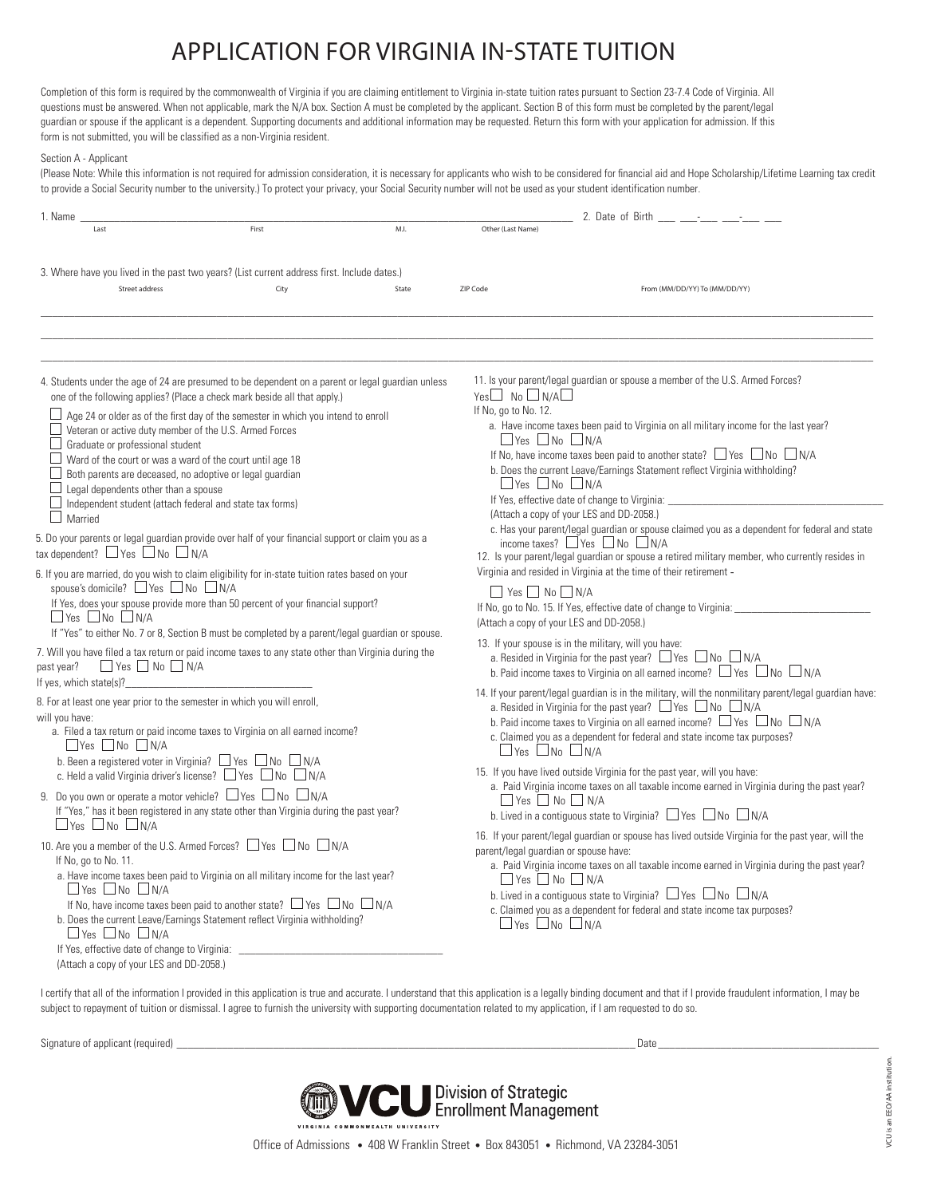## APPLICATION FOR VIRGINIA IN-STATE TUITION

Completion of this form is required by the commonwealth of Virginia if you are claiming entitlement to Virginia in-state tuition rates pursuant to Section 23-7.4 Code of Virginia. All questions must be answered. When not applicable, mark the N/A box. Section A must be completed by the applicant. Section B of this form must be completed by the parent/legal guardian or spouse if the applicant is a dependent. Supporting documents and additional information may be requested. Return this form with your application for admission. If this form is not submitted, you will be classified as a non-Virginia resident.

## Section A - Applicant

(Please Note: While this information is not required for admission consideration, it is necessary for applicants who wish to be considered for financial aid and Hope Scholarship/Lifetime Learning tax credit to provide a Social Security number to the university.) To protect your privacy, your Social Security number will not be used as your student identification number.

| 1. Name                                                                                                                                                                                                                                                                                                                                                                                                                                                                                                                                                                                                                                                                                                                                                                                                                                                                                                  |                                                                                                                                                                                                                                                                                                                                                                                                               | 2. Date of Birth - - - -                                                                                                                                                                                                                                                                                                                                                                                                                                                                                                                                                                                                                                                                                                                                                                                                                                                                              |                                                                                                                                                                                                                                                                                                                                                                                                                                                                                                                                                                                            |                               |  |
|----------------------------------------------------------------------------------------------------------------------------------------------------------------------------------------------------------------------------------------------------------------------------------------------------------------------------------------------------------------------------------------------------------------------------------------------------------------------------------------------------------------------------------------------------------------------------------------------------------------------------------------------------------------------------------------------------------------------------------------------------------------------------------------------------------------------------------------------------------------------------------------------------------|---------------------------------------------------------------------------------------------------------------------------------------------------------------------------------------------------------------------------------------------------------------------------------------------------------------------------------------------------------------------------------------------------------------|-------------------------------------------------------------------------------------------------------------------------------------------------------------------------------------------------------------------------------------------------------------------------------------------------------------------------------------------------------------------------------------------------------------------------------------------------------------------------------------------------------------------------------------------------------------------------------------------------------------------------------------------------------------------------------------------------------------------------------------------------------------------------------------------------------------------------------------------------------------------------------------------------------|--------------------------------------------------------------------------------------------------------------------------------------------------------------------------------------------------------------------------------------------------------------------------------------------------------------------------------------------------------------------------------------------------------------------------------------------------------------------------------------------------------------------------------------------------------------------------------------------|-------------------------------|--|
| Last                                                                                                                                                                                                                                                                                                                                                                                                                                                                                                                                                                                                                                                                                                                                                                                                                                                                                                     | First                                                                                                                                                                                                                                                                                                                                                                                                         | M.I.                                                                                                                                                                                                                                                                                                                                                                                                                                                                                                                                                                                                                                                                                                                                                                                                                                                                                                  | Other (Last Name)                                                                                                                                                                                                                                                                                                                                                                                                                                                                                                                                                                          |                               |  |
| 3. Where have you lived in the past two years? (List current address first. Include dates.)                                                                                                                                                                                                                                                                                                                                                                                                                                                                                                                                                                                                                                                                                                                                                                                                              |                                                                                                                                                                                                                                                                                                                                                                                                               |                                                                                                                                                                                                                                                                                                                                                                                                                                                                                                                                                                                                                                                                                                                                                                                                                                                                                                       |                                                                                                                                                                                                                                                                                                                                                                                                                                                                                                                                                                                            |                               |  |
| Street address                                                                                                                                                                                                                                                                                                                                                                                                                                                                                                                                                                                                                                                                                                                                                                                                                                                                                           | City                                                                                                                                                                                                                                                                                                                                                                                                          | State                                                                                                                                                                                                                                                                                                                                                                                                                                                                                                                                                                                                                                                                                                                                                                                                                                                                                                 | ZIP Code                                                                                                                                                                                                                                                                                                                                                                                                                                                                                                                                                                                   | From (MM/DD/YY) To (MM/DD/YY) |  |
|                                                                                                                                                                                                                                                                                                                                                                                                                                                                                                                                                                                                                                                                                                                                                                                                                                                                                                          |                                                                                                                                                                                                                                                                                                                                                                                                               |                                                                                                                                                                                                                                                                                                                                                                                                                                                                                                                                                                                                                                                                                                                                                                                                                                                                                                       |                                                                                                                                                                                                                                                                                                                                                                                                                                                                                                                                                                                            |                               |  |
| 4. Students under the age of 24 are presumed to be dependent on a parent or legal guardian unless<br>one of the following applies? (Place a check mark beside all that apply.)<br>$\Box$ Age 24 or older as of the first day of the semester in which you intend to enroll<br>$\Box$ Veteran or active duty member of the U.S. Armed Forces<br>Graduate or professional student<br>Ward of the court or was a ward of the court until age 18<br>$\Box$ Both parents are deceased, no adoptive or legal guardian<br>Legal dependents other than a spouse<br>$\Box$ Independent student (attach federal and state tax forms)<br>$\Box$ Married<br>5. Do your parents or legal guardian provide over half of your financial support or claim you as a<br>tax dependent? $\Box$ Yes $\Box$ No $\Box$ N/A<br>6. If you are married, do you wish to claim eligibility for in-state tuition rates based on your |                                                                                                                                                                                                                                                                                                                                                                                                               | 11. Is your parent/legal guardian or spouse a member of the U.S. Armed Forces?<br>$Yes \Box No \Box N/A \Box$<br>If No, go to No. 12.<br>a. Have income taxes been paid to Virginia on all military income for the last year?<br>$\Box$ Yes $\Box$ No $\Box$ N/A<br>If No, have income taxes been paid to another state? $\Box$ Yes $\Box$ No $\Box$ N/A<br>b. Does the current Leave/Earnings Statement reflect Virginia withholding?<br>$\Box$ Yes $\Box$ No $\Box$ N/A<br>If Yes, effective date of change to Virginia: ____<br>(Attach a copy of your LES and DD-2058.)<br>c. Has your parent/legal guardian or spouse claimed you as a dependent for federal and state<br>income taxes? $\Box$ Yes $\Box$ No $\Box$ N/A<br>12. Is your parent/legal guardian or spouse a retired military member, who currently resides in<br>Virginia and resided in Virginia at the time of their retirement - |                                                                                                                                                                                                                                                                                                                                                                                                                                                                                                                                                                                            |                               |  |
| spouse's domicile? $\Box$ Yes $\Box$ No $\Box$ N/A<br>$\Box$ Yes $\Box$ No $\Box$ N/A<br>$\Box$ Yes $\Box$ No $\Box$ N/A<br>past year?<br>If yes, which state(s)?                                                                                                                                                                                                                                                                                                                                                                                                                                                                                                                                                                                                                                                                                                                                        | If Yes, does your spouse provide more than 50 percent of your financial support?<br>If "Yes" to either No. 7 or 8, Section B must be completed by a parent/legal quardian or spouse.<br>7. Will you have filed a tax return or paid income taxes to any state other than Virginia during the                                                                                                                  |                                                                                                                                                                                                                                                                                                                                                                                                                                                                                                                                                                                                                                                                                                                                                                                                                                                                                                       | $\Box$ Yes $\Box$ No $\Box$ N/A<br>If No, go to No. 15. If Yes, effective date of change to Virginia: _<br>(Attach a copy of your LES and DD-2058.)<br>13. If your spouse is in the military, will you have:<br>a. Resided in Virginia for the past year? $\Box$ Yes $\Box$ No $\Box$ N/A<br>b. Paid income taxes to Virginia on all earned income? $\Box$ Yes $\Box$ No $\Box$ N/A                                                                                                                                                                                                        |                               |  |
| 8. For at least one year prior to the semester in which you will enroll,<br>will you have:<br>$\Box$ Yes $\Box$ No $\Box$ N/A                                                                                                                                                                                                                                                                                                                                                                                                                                                                                                                                                                                                                                                                                                                                                                            | a. Filed a tax return or paid income taxes to Virginia on all earned income?<br>b. Been a registered voter in Virginia? $\Box$ Yes $\Box$ No $\Box$ N/A<br>c. Held a valid Virginia driver's license? $\Box$ Yes $\Box$ No $\Box$ N/A<br>9. Do you own or operate a motor vehicle? $\Box$ Yes $\Box$ No $\Box$ N/A<br>If "Yes," has it been registered in any state other than Virginia during the past year? |                                                                                                                                                                                                                                                                                                                                                                                                                                                                                                                                                                                                                                                                                                                                                                                                                                                                                                       | 14. If your parent/legal guardian is in the military, will the nonmilitary parent/legal guardian have:<br>a. Resided in Virginia for the past year? $\Box$ Yes $\Box$ No $\Box$ N/A<br>b. Paid income taxes to Virginia on all earned income? $\Box$ Yes $\Box$ No $\Box$ N/A<br>c. Claimed you as a dependent for federal and state income tax purposes?<br>$\Box$ Yes $\Box$ No $\Box$ N/A<br>15. If you have lived outside Virginia for the past year, will you have:<br>a. Paid Virginia income taxes on all taxable income earned in Virginia during the past year?<br>$Yes$ No $N/A$ |                               |  |
| $\Box$ Yes $\Box$ No $\Box$ N/A<br>10. Are you a member of the U.S. Armed Forces? □ Yes □ No □ N/A<br>If No, go to No. 11.<br>a. Have income taxes been paid to Virginia on all military income for the last year?<br>$\Box$ Yes $\Box$ No $\Box$ N/A<br>If No, have income taxes been paid to another state? $\Box$ Yes $\Box$ No $\Box$ N/A<br>b. Does the current Leave/Earnings Statement reflect Virginia withholding?<br>$\Box$ Yes $\Box$ No $\Box$ N/A<br>If Yes, effective date of change to Virginia:<br>(Attach a copy of your LES and DD-2058.)                                                                                                                                                                                                                                                                                                                                              |                                                                                                                                                                                                                                                                                                                                                                                                               | b. Lived in a contiguous state to Virginia? $\Box$ Yes $\Box$ No $\Box$ N/A<br>16. If your parent/legal guardian or spouse has lived outside Virginia for the past year, will the<br>parent/legal quardian or spouse have:<br>a. Paid Virginia income taxes on all taxable income earned in Virginia during the past year?<br>$\Box$ Yes $\Box$ No $\Box$ N/A<br>b. Lived in a contiguous state to Virginia? $\Box$ Yes $\Box$ No $\Box$ N/A<br>c. Claimed you as a dependent for federal and state income tax purposes?<br>$\Box$ Yes $\Box$ No $\Box$ N/A                                                                                                                                                                                                                                                                                                                                           |                                                                                                                                                                                                                                                                                                                                                                                                                                                                                                                                                                                            |                               |  |

I certify that all of the information I provided in this application is true and accurate. I understand that this application is a legally binding document and that if I provide fraudulent information, I may be subject to repayment of tuition or dismissal. I agree to furnish the university with supporting documentation related to my application, if I am requested to do so.

Signature of applicant (required) \_\_\_\_\_\_\_\_\_\_\_\_\_\_\_\_\_\_\_\_\_\_\_\_\_\_\_\_\_\_\_\_\_\_\_\_\_\_\_\_\_\_\_\_\_\_\_\_\_\_\_\_\_\_\_\_\_\_\_\_\_\_\_\_\_\_\_\_\_\_\_\_\_\_\_\_\_\_\_\_\_ Date \_\_\_\_\_\_\_\_\_\_\_\_\_\_\_\_\_\_\_\_\_\_\_\_\_\_\_\_\_\_\_\_\_\_\_\_\_\_\_